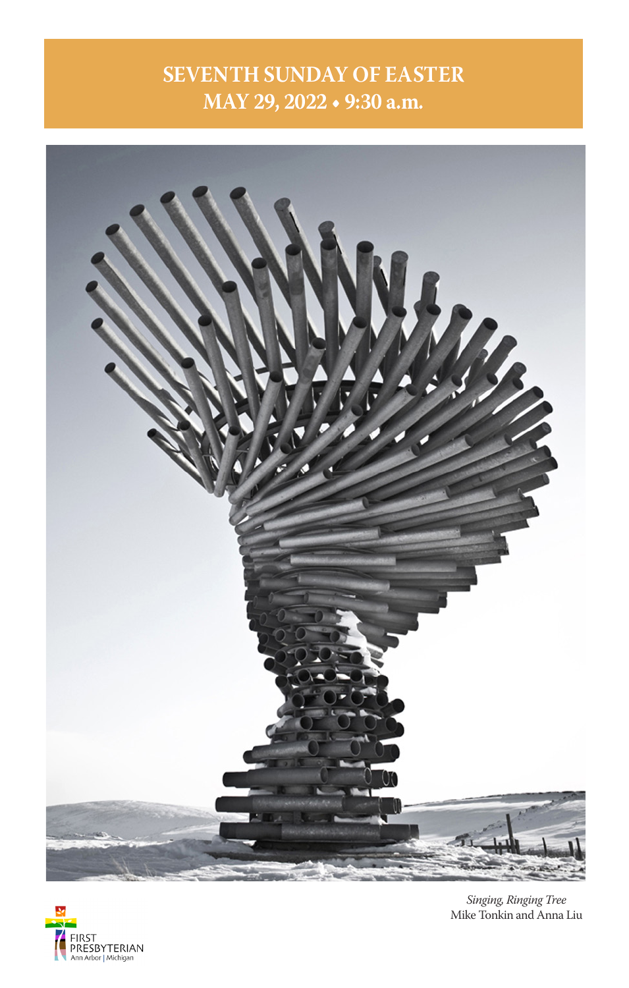# **SEVENTH SUNDAY OF EASTER MAY 29, 2022 • 9:30 a.m.**





*Singing, Ringing Tree* Mike Tonkin and Anna Liu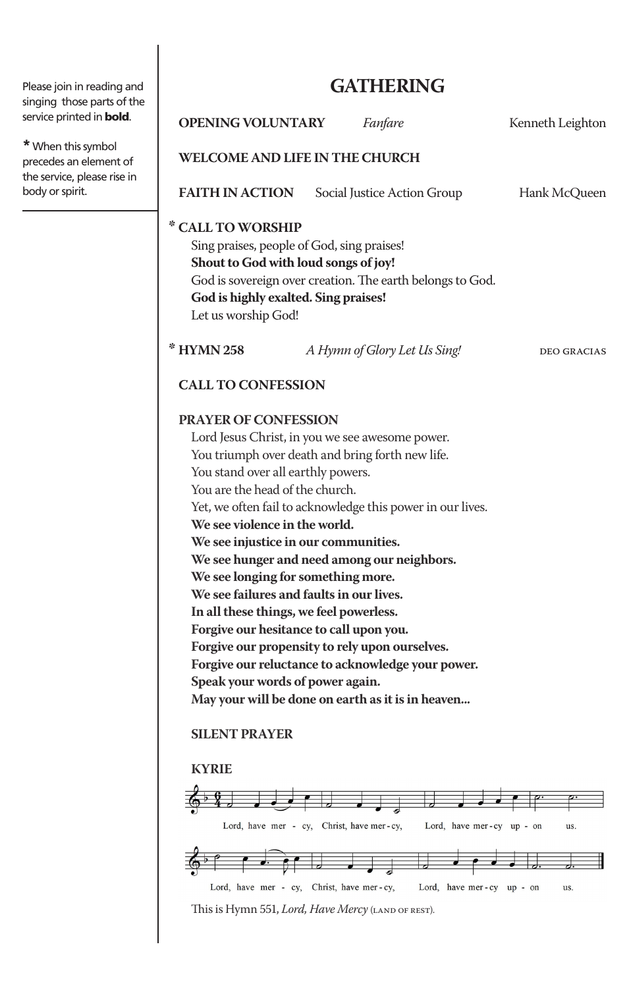Please join in reading and singing those parts of the service printed in **bold**.

**\***When this symbol precedes an element of the service, please rise in body or spirit.

# **GATHERING**

**OPENING VOLUNTARY** *Fanfare Fanfare Kenneth Leighton* 

## **WELCOME AND LIFE IN THE CHURCH**

**FAITH IN ACTION** Social Justice Action Group Hank McQueen

#### **\* CALL TO WORSHIP**

Sing praises, people of God, sing praises! **Shout to God with loud songs of joy!** God is sovereign over creation. The earth belongs to God. **God is highly exalted. Sing praises!** Let us worship God!

**\* HYMN 258** *A Hymn of Glory Let Us Sing!* deo gracias

## **CALL TO CONFESSION**

#### **PRAYER OF CONFESSION**

Lord Jesus Christ, in you we see awesome power. You triumph over death and bring forth new life. You stand over all earthly powers. You are the head of the church. Yet, we often fail to acknowledge this power in our lives. **We see violence in the world. We see injustice in our communities. We see hunger and need among our neighbors. We see longing for something more. We see failures and faults in our lives. In all these things, we feel powerless. Forgive our hesitance to call upon you. Forgive our propensity to rely upon ourselves. Forgive our reluctance to acknowledge your power. Speak your words of power again. May your will be done on earth as it is in heaven...**

### **SILENT PRAYER**

### **KYRIE**



This is Hymn 551, *Lord, Have Mercy* (LAND OF REST).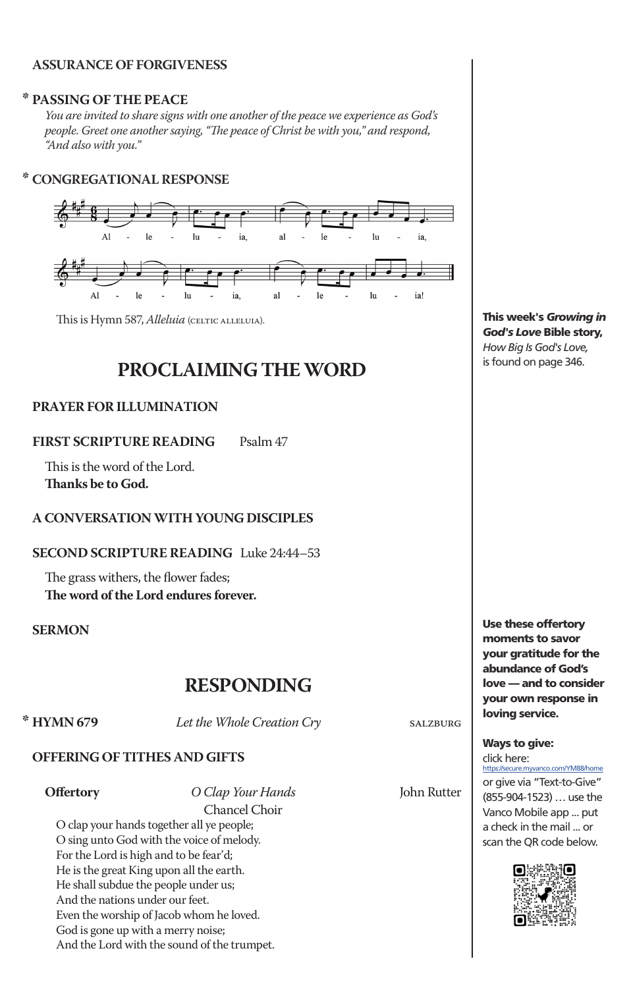#### **ASSURANCE OF FORGIVENESS**

#### **\* PASSING OF THE PEACE**

*You are invited to share signs with one another of the peace we experience as God's people. Greet one another saying, "The peace of Christ be with you," and respond, "And also with you."*

#### **\* CONGREGATIONAL RESPONSE**



This is Hymn 587, *Alleluia* (CELTIC ALLELUIA).

# **PROCLAIMING THE WORD**

#### **PRAYER FOR ILLUMINATION**

**FIRST SCRIPTURE READING** Psalm 47

This is the word of the Lord. **Thanks be to God.** 

#### **A CONVERSATION WITH YOUNG DISCIPLES**

**SECOND SCRIPTURE READING** Luke 24:44–53

The grass withers, the flower fades; **The word of the Lord endures forever.**

#### **SERMON**

# **RESPONDING**<br> **\* HYMN 679**<br> *Let the Whole Creation Cr*

Let the Whole Creation Cry salzburg

#### **OFFERING OF TITHES AND GIFTS**

**Offertory** *O Clap Your Hands* John Rutter Chancel Choir

O clap your hands together all ye people; O sing unto God with the voice of melody. For the Lord is high and to be fear'd; He is the great King upon all the earth. He shall subdue the people under us; And the nations under our feet. Even the worship of Jacob whom he loved. God is gone up with a merry noise; And the Lord with the sound of the trumpet.

This week's *Growing in God's Love* Bible story, *How Big Is God's Love,*  is found on page 346.

Use these offertory moments to savor your gratitude for the abundance of God's love — and to consider your own response in loving service.

Ways to give:

click here: https://secure.myvanco.com/YM88/home or give via "Text-to-Give" (855-904-1523) … use the Vanco Mobile app ... put a check in the mail ... or scan the QR code below.

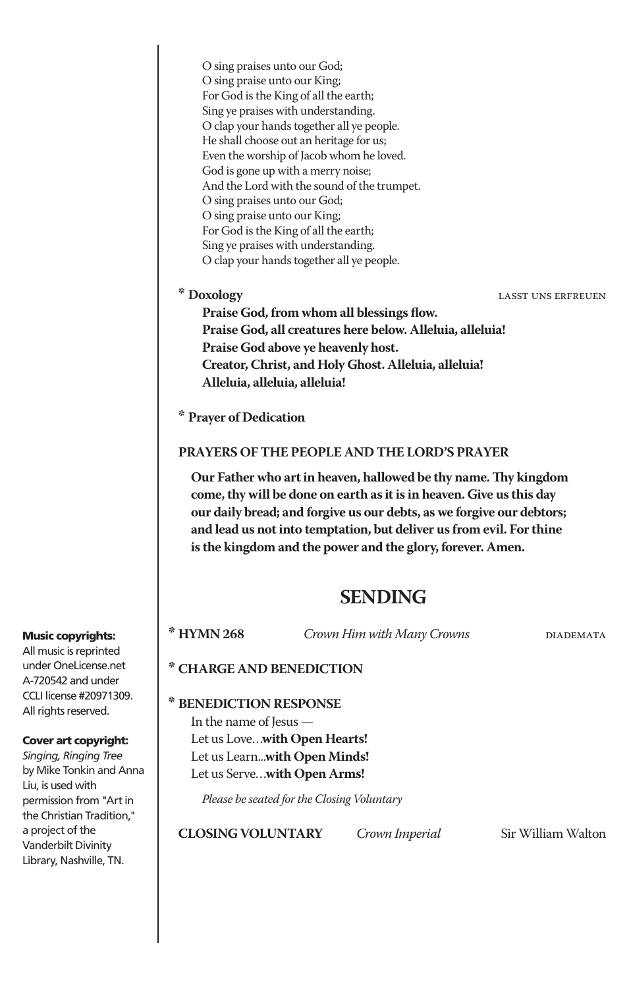O sing praises unto our God; O sing praise unto our King; For God is the King of all the earth; Sing ye praises with understanding. O clap your hands together all ye people. He shall choose out an heritage for us; Even the worship of Jacob whom he loved. God is gone up with a merry noise; And the Lord with the sound of the trumpet. O sing praises unto our God; O sing praise unto our King; For God is the King of all the earth; Sing ye praises with understanding. O clap your hands together all ye people.

**\* Doxology** lasst uns erfreuen

**Praise God, from whom all blessings flow. Praise God, all creatures here below. Alleluia, alleluia! Praise God above ye heavenly host. Creator, Christ, and Holy Ghost. Alleluia, alleluia! Alleluia, alleluia, alleluia!**

**\* Prayer of Dedication**

#### **PRAYERS OF THE PEOPLE AND THE LORD'S PRAYER**

**Our Father who art in heaven, hallowed be thy name. Thy kingdom come, thy will be done on earth as it is in heaven. Give us this day our daily bread; and forgive us our debts, as we forgive our debtors; and lead us not into temptation, but deliver us from evil. For thine is the kingdom and the power and the glory, forever. Amen.**

# **SENDING**

**\* HYMN 268** *Crown Him with Many Crowns* diademata

#### **\* CHARGE AND BENEDICTION**

## **\* BENEDICTION RESPONSE**

In the name of Jesus — Let us Love…**with Open Hearts!** Let us Learn...**with Open Minds!** Let us Serve…**with Open Arms!**

*Please be seated for the Closing Voluntary*

**CLOSING VOLUNTARY** *Crown Imperial* Sir William Walton

#### Music copyrights: All music is reprinted

under OneLicense.net A-720542 and under CCLI license #20971309. All rights reserved.

#### Cover art copyright:

*Singing, Ringing Tree* by Mike Tonkin and Anna Liu, is used with permission from "Art in the Christian Tradition," a project of the Vanderbilt Divinity Library, Nashville, TN.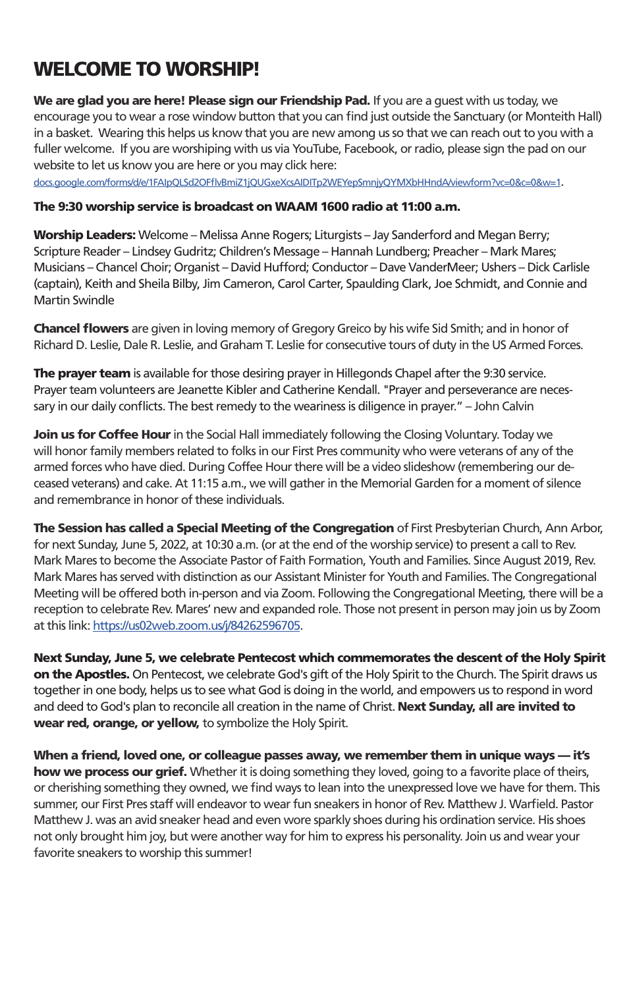# WELCOME TO WORSHIP!

We are glad you are here! Please sign our Friendship Pad. If you are a quest with us today, we encourage you to wear a rose window button that you can find just outside the Sanctuary (or Monteith Hall) in a basket. Wearing this helps us know that you are new among us so that we can reach out to you with a fuller welcome. If you are worshiping with us via YouTube, Facebook, or radio, please sign the pad on our website to let us know you are here or you may click here:

docs.google.com/forms/d/e/1FAIpQLSd2OFflvBmiZ1jQUGxeXcsAIDITp2WEYepSmnjyQYMXbHHndA/viewform?vc=0&c=0&w=1.

#### The 9:30 worship service is broadcast on WAAM 1600 radio at 11:00 a.m.

Worship Leaders: Welcome – Melissa Anne Rogers; Liturgists – Jay Sanderford and Megan Berry; Scripture Reader – Lindsey Gudritz; Children's Message – Hannah Lundberg; Preacher – Mark Mares; Musicians – Chancel Choir; Organist – David Hufford; Conductor – Dave VanderMeer; Ushers – Dick Carlisle (captain), Keith and Sheila Bilby, Jim Cameron, Carol Carter, Spaulding Clark, Joe Schmidt, and Connie and Martin Swindle

**Chancel flowers** are given in loving memory of Gregory Greico by his wife Sid Smith; and in honor of Richard D. Leslie, Dale R. Leslie, and Graham T. Leslie for consecutive tours of duty in the US Armed Forces.

The prayer team is available for those desiring prayer in Hillegonds Chapel after the 9:30 service. Prayer team volunteers are Jeanette Kibler and Catherine Kendall. "Prayer and perseverance are necessary in our daily conflicts. The best remedy to the weariness is diligence in prayer." – John Calvin

Join us for Coffee Hour in the Social Hall immediately following the Closing Voluntary. Today we will honor family members related to folks in our First Pres community who were veterans of any of the armed forces who have died. During Coffee Hour there will be a video slideshow (remembering our deceased veterans) and cake. At 11:15 a.m., we will gather in the Memorial Garden for a moment of silence and remembrance in honor of these individuals.

The Session has called a Special Meeting of the Congregation of First Presbyterian Church, Ann Arbor, for next Sunday, June 5, 2022, at 10:30 a.m. (or at the end of the worship service) to present a call to Rev. Mark Mares to become the Associate Pastor of Faith Formation, Youth and Families. Since August 2019, Rev. Mark Mares has served with distinction as our Assistant Minister for Youth and Families. The Congregational Meeting will be offered both in-person and via Zoom. Following the Congregational Meeting, there will be a reception to celebrate Rev. Mares' new and expanded role. Those not present in person may join us by Zoom at this link: https://us02web.zoom.us/j/84262596705.

Next Sunday, June 5, we celebrate Pentecost which commemorates the descent of the Holy Spirit on the Apostles. On Pentecost, we celebrate God's gift of the Holy Spirit to the Church. The Spirit draws us together in one body, helps us to see what God is doing in the world, and empowers us to respond in word and deed to God's plan to reconcile all creation in the name of Christ. Next Sunday, all are invited to wear red, orange, or yellow, to symbolize the Holy Spirit.

When a friend, loved one, or colleague passes away, we remember them in unique ways — it's how we process our grief. Whether it is doing something they loved, going to a favorite place of theirs, or cherishing something they owned, we find ways to lean into the unexpressed love we have for them. This summer, our First Pres staff will endeavor to wear fun sneakers in honor of Rev. Matthew J. Warfield. Pastor Matthew J. was an avid sneaker head and even wore sparkly shoes during his ordination service. His shoes not only brought him joy, but were another way for him to express his personality. Join us and wear your favorite sneakers to worship this summer!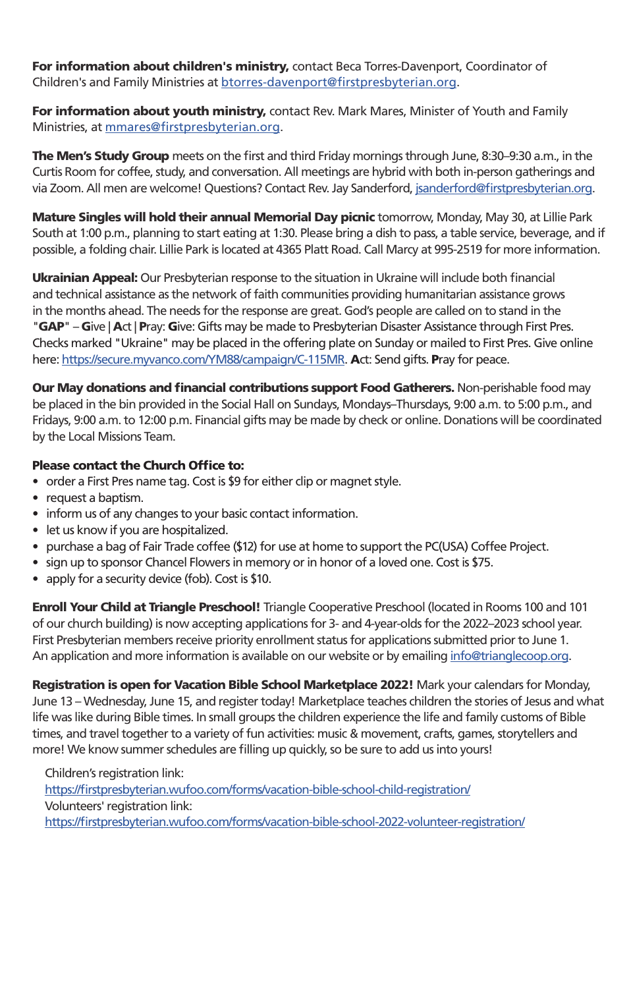For information about children's ministry, contact Beca Torres-Davenport, Coordinator of Children's and Family Ministries at btorres-davenport@firstpresbyterian.org.

For information about youth ministry, contact Rev. Mark Mares, Minister of Youth and Family Ministries, at mmares@firstpresbyterian.org.

The Men's Study Group meets on the first and third Friday mornings through June, 8:30–9:30 a.m., in the Curtis Room for coffee, study, and conversation. All meetings are hybrid with both in-person gatherings and via Zoom. All men are welcome! Questions? Contact Rev. Jay Sanderford, jsanderford@firstpresbyterian.org.

**Mature Singles will hold their annual Memorial Day picnic** tomorrow, Monday, May 30, at Lillie Park South at 1:00 p.m., planning to start eating at 1:30. Please bring a dish to pass, a table service, beverage, and if possible, a folding chair. Lillie Park is located at 4365 Platt Road. Call Marcy at 995-2519 for more information.

Ukrainian Appeal: Our Presbyterian response to the situation in Ukraine will include both financial and technical assistance as the network of faith communities providing humanitarian assistance grows in the months ahead. The needs for the response are great. God's people are called on to stand in the "GAP" – Give | Act | Pray: Give: Gifts may be made to Presbyterian Disaster Assistance through First Pres. Checks marked "Ukraine" may be placed in the offering plate on Sunday or mailed to First Pres. Give online here: https://secure.myvanco.com/YM88/campaign/C-115MR. Act: Send gifts. Pray for peace.

Our May donations and financial contributions support Food Gatherers. Non-perishable food may be placed in the bin provided in the Social Hall on Sundays, Mondays–Thursdays, 9:00 a.m. to 5:00 p.m., and Fridays, 9:00 a.m. to 12:00 p.m. Financial gifts may be made by check or online. Donations will be coordinated by the Local Missions Team.

#### Please contact the Church Office to:

- order a First Pres name tag. Cost is \$9 for either clip or magnet style.
- request a baptism.
- inform us of any changes to your basic contact information.
- let us know if you are hospitalized.
- purchase a bag of Fair Trade coffee (\$12) for use at home to support the PC(USA) Coffee Project.
- sign up to sponsor Chancel Flowers in memory or in honor of a loved one. Cost is \$75.
- apply for a security device (fob). Cost is \$10.

Enroll Your Child at Triangle Preschool! Triangle Cooperative Preschool (located in Rooms 100 and 101 of our church building) is now accepting applications for 3- and 4-year-olds for the 2022–2023 school year. First Presbyterian members receive priority enrollment status for applications submitted prior to June 1. An application and more information is available on our website or by emailing info@trianglecoop.org.

Registration is open for Vacation Bible School Marketplace 2022! Mark your calendars for Monday, June 13 – Wednesday, June 15, and register today! Marketplace teaches children the stories of Jesus and what life was like during Bible times. In small groups the children experience the life and family customs of Bible times, and travel together to a variety of fun activities: music & movement, crafts, games, storytellers and more! We know summer schedules are filling up quickly, so be sure to add us into yours!

Children's registration link: https://firstpresbyterian.wufoo.com/forms/vacation-bible-school-child-registration/ Volunteers' registration link: https://firstpresbyterian.wufoo.com/forms/vacation-bible-school-2022-volunteer-registration/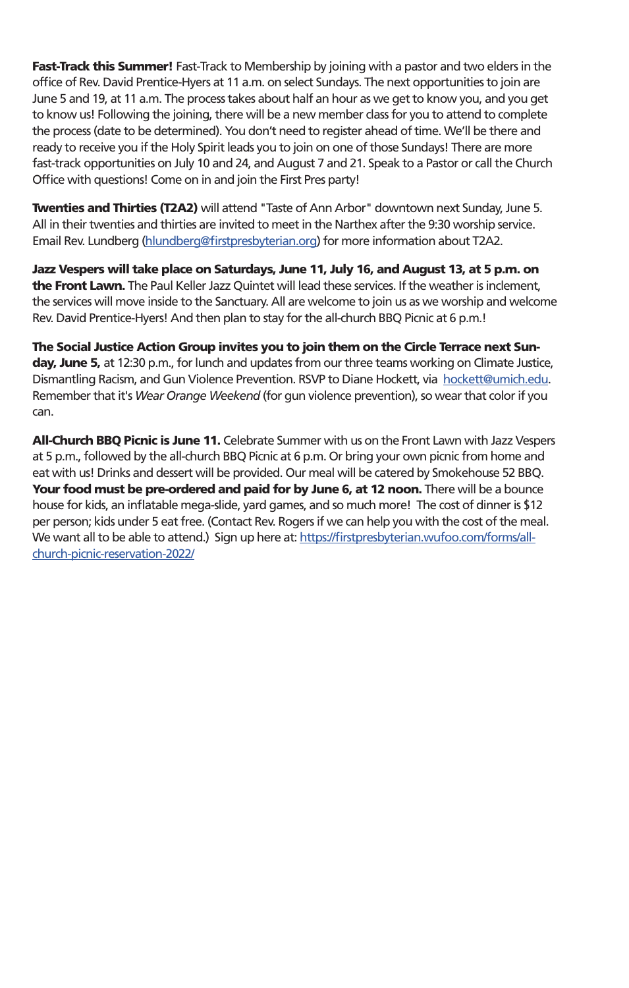**Fast-Track this Summer!** Fast-Track to Membership by joining with a pastor and two elders in the office of Rev. David Prentice-Hyers at 11 a.m. on select Sundays. The next opportunities to join are June 5 and 19, at 11 a.m. The process takes about half an hour as we get to know you, and you get to know us! Following the joining, there will be a new member class for you to attend to complete the process (date to be determined). You don't need to register ahead of time. We'll be there and ready to receive you if the Holy Spirit leads you to join on one of those Sundays! There are more fast-track opportunities on July 10 and 24, and August 7 and 21. Speak to a Pastor or call the Church Office with questions! Come on in and join the First Pres party!

Twenties and Thirties (T2A2) will attend "Taste of Ann Arbor" downtown next Sunday, June 5. All in their twenties and thirties are invited to meet in the Narthex after the 9:30 worship service. Email Rev. Lundberg (hlundberg@firstpresbyterian.org) for more information about T2A2.

Jazz Vespers will take place on Saturdays, June 11, July 16, and August 13, at 5 p.m. on the Front Lawn. The Paul Keller Jazz Quintet will lead these services. If the weather is inclement, the services will move inside to the Sanctuary. All are welcome to join us as we worship and welcome Rev. David Prentice-Hyers! And then plan to stay for the all-church BBQ Picnic at 6 p.m.!

The Social Justice Action Group invites you to join them on the Circle Terrace next Sunday, June 5, at 12:30 p.m., for lunch and updates from our three teams working on Climate Justice, Dismantling Racism, and Gun Violence Prevention. RSVP to Diane Hockett, via hockett@umich.edu. Remember that it's *Wear Orange Weekend* (for gun violence prevention), so wear that color if you can.

All-Church BBQ Picnic is June 11. Celebrate Summer with us on the Front Lawn with Jazz Vespers at 5 p.m., followed by the all-church BBQ Picnic at 6 p.m. Or bring your own picnic from home and eat with us! Drinks and dessert will be provided. Our meal will be catered by Smokehouse 52 BBQ. Your food must be pre-ordered and paid for by June 6, at 12 noon. There will be a bounce house for kids, an inflatable mega-slide, yard games, and so much more! The cost of dinner is \$12 per person; kids under 5 eat free. (Contact Rev. Rogers if we can help you with the cost of the meal. We want all to be able to attend.) Sign up here at: https://firstpresbyterian.wufoo.com/forms/allchurch-picnic-reservation-2022/